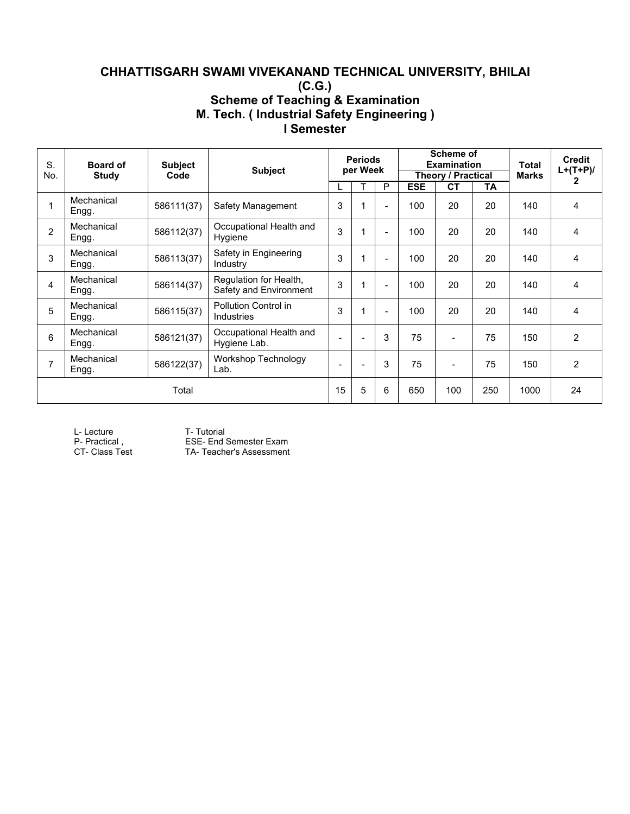# **CHHATTISGARH SWAMI VIVEKANAND TECHNICAL UNIVERSITY, BHILAI (C.G.) Scheme of Teaching & Examination M. Tech. ( Industrial Safety Engineering ) I Semester**

| S.<br>No. | <b>Board of</b><br>Study | <b>Subject</b><br>Code | <b>Subject</b>                                   |                          | <b>Periods</b><br>per Week |                |            | <b>Scheme of</b><br><b>Examination</b><br><b>Theory / Practical</b> |           | Total<br>Marks | <b>Credit</b><br>$L+(T+P)/$ |
|-----------|--------------------------|------------------------|--------------------------------------------------|--------------------------|----------------------------|----------------|------------|---------------------------------------------------------------------|-----------|----------------|-----------------------------|
|           |                          |                        |                                                  |                          |                            | P              | <b>ESE</b> | <b>CT</b>                                                           | <b>TA</b> |                | 2                           |
|           | Mechanical<br>Engg.      | 586111(37)             | Safety Management                                | 3                        |                            |                | 100        | 20                                                                  | 20        | 140            | 4                           |
| 2         | Mechanical<br>Engg.      | 586112(37)             | Occupational Health and<br>Hygiene               | 3                        | $\mathbf 1$                | $\blacksquare$ | 100        | 20                                                                  | 20        | 140            | 4                           |
| 3         | Mechanical<br>Engg.      | 586113(37)             | Safety in Engineering<br>Industry                | 3                        | $\overline{1}$             |                | 100        | 20                                                                  | 20        | 140            | 4                           |
| 4         | Mechanical<br>Engg.      | 586114(37)             | Regulation for Health,<br>Safety and Environment | 3                        | 1                          | ۰              | 100        | 20                                                                  | 20        | 140            | 4                           |
| 5         | Mechanical<br>Engg.      | 586115(37)             | Pollution Control in<br><b>Industries</b>        | 3                        | 1                          |                | 100        | 20                                                                  | 20        | 140            | 4                           |
| 6         | Mechanical<br>Engg.      | 586121(37)             | Occupational Health and<br>Hygiene Lab.          | $\overline{\phantom{a}}$ | $\overline{\phantom{a}}$   | 3              | 75         | $\overline{\phantom{a}}$                                            | 75        | 150            | $\overline{2}$              |
|           | Mechanical<br>Engg.      | 586122(37)             | Workshop Technology<br>Lab.                      |                          |                            | 3              | 75         | $\overline{\phantom{a}}$                                            | 75        | 150            | $\overline{2}$              |
|           |                          | Total                  |                                                  | 15                       | 5                          | 6              | 650        | 100                                                                 | 250       | 1000           | 24                          |

L-Lecture T- Tutorial<br>
P- Practical, ESE- End 9

P- Practical , ESE- End Semester Exam<br>CT- Class Test TA- Teacher's Assessment TA- Teacher's Assessment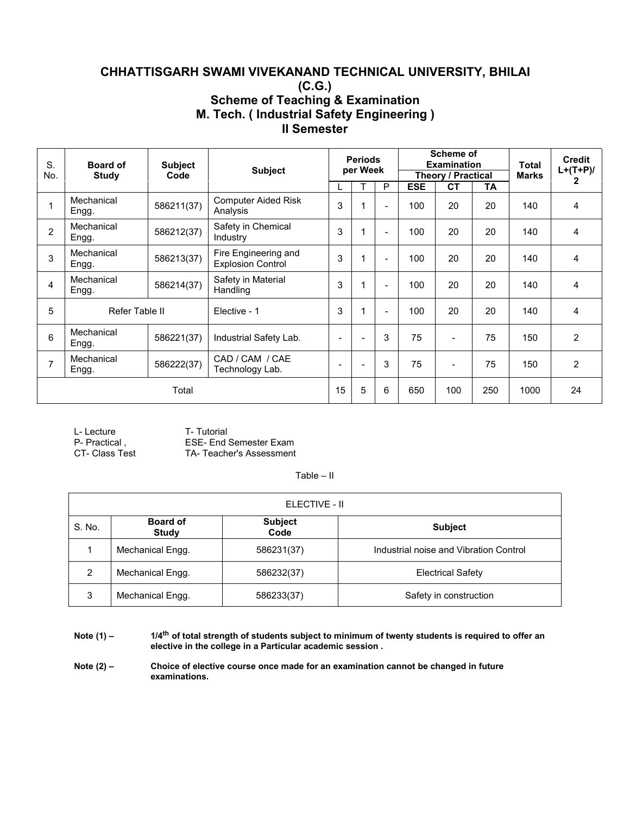## **CHHATTISGARH SWAMI VIVEKANAND TECHNICAL UNIVERSITY, BHILAI (C.G.) Scheme of Teaching & Examination M. Tech. ( Industrial Safety Engineering ) II Semester**

| S.<br>No.      | <b>Board of</b>     | <b>Subject</b><br>Code | <b>Subject</b>                                   |                          | <b>Periods</b><br>per Week |                          |                   | <b>Scheme of</b><br><b>Examination</b> |                 | <b>Total</b><br><b>Marks</b> | <b>Credit</b><br>$L+(T+P)/$ |
|----------------|---------------------|------------------------|--------------------------------------------------|--------------------------|----------------------------|--------------------------|-------------------|----------------------------------------|-----------------|------------------------------|-----------------------------|
|                | <b>Study</b>        |                        |                                                  |                          |                            | P                        |                   | Theory / Practical<br><b>CT</b>        |                 |                              | $\mathbf{2}$                |
|                | Mechanical<br>Engg. | 586211(37)             | <b>Computer Aided Risk</b><br>Analysis           | 3                        |                            |                          | <b>ESE</b><br>100 | 20                                     | <b>TA</b><br>20 | 140                          | 4                           |
| 2              | Mechanical<br>Engg. | 586212(37)             | Safety in Chemical<br>Industry                   | 3                        |                            | $\overline{\phantom{a}}$ | 100               | 20                                     | 20              | 140                          | 4                           |
| 3              | Mechanical<br>Engg. | 586213(37)             | Fire Engineering and<br><b>Explosion Control</b> | 3                        |                            | $\overline{\phantom{a}}$ | 100               | 20                                     | 20              | 140                          | 4                           |
| 4              | Mechanical<br>Engg. | 586214(37)             | Safety in Material<br>Handling                   | 3                        |                            | $\blacksquare$           | 100               | 20                                     | 20              | 140                          | 4                           |
| 5              | Refer Table II      |                        | Elective - 1                                     | 3                        |                            | $\overline{\phantom{0}}$ | 100               | 20                                     | 20              | 140                          | 4                           |
| 6              | Mechanical<br>Engg. | 586221(37)             | Industrial Safety Lab.                           | $\overline{\phantom{a}}$ |                            | 3                        | 75                | $\blacksquare$                         | 75              | 150                          | $\overline{2}$              |
| $\overline{7}$ | Mechanical<br>Engg. | 586222(37)             | CAD / CAM / CAE<br>Technology Lab.               | $\overline{\phantom{a}}$ | ٠                          | 3                        | 75                | $\blacksquare$                         | 75              | 150                          | $\overline{2}$              |
|                |                     | Total                  |                                                  | 15                       | 5                          | 6                        | 650               | 100                                    | 250             | 1000                         | 24                          |

| L- Lecture     | T- Tutorial             |
|----------------|-------------------------|
| P- Practical.  | ESE- End Semester Exam  |
| CT- Class Test | TA-Teacher's Assessment |

#### Table – II

|        |                                 | ELECTIVE - II          |                                        |
|--------|---------------------------------|------------------------|----------------------------------------|
| S. No. | <b>Board of</b><br><b>Study</b> | <b>Subject</b><br>Code | <b>Subject</b>                         |
|        | Mechanical Engg.                | 586231(37)             | Industrial noise and Vibration Control |
| 2      | Mechanical Engg.                | 586232(37)             | <b>Electrical Safety</b>               |
| 3      | Mechanical Engg.                | 586233(37)             | Safety in construction                 |

Note  $(1)$  -  $1/4$ <sup>th</sup> of total strength of students subject to minimum of twenty students is required to offer an **elective in the college in a Particular academic session .**

**Note (2) – Choice of elective course once made for an examination cannot be changed in future examinations.**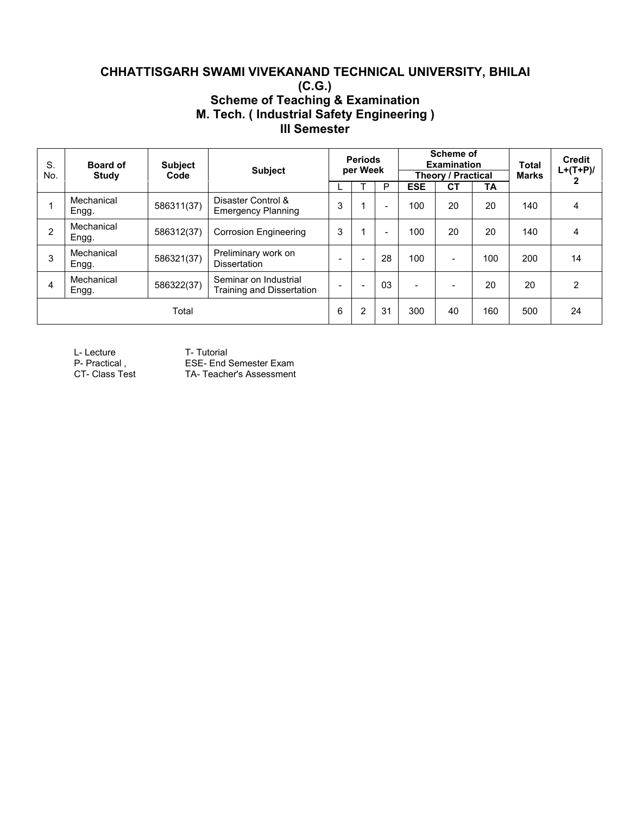## **CHHATTISGARH SWAMI VIVEKANAND TECHNICAL UNIVERSITY, BHILAI (C.G.) Scheme of Teaching & Examination M. Tech. ( Industrial Safety Engineering ) III Semester**

| S.<br>No.      | <b>Board of</b><br><b>Study</b> | <b>Subject</b><br>Code | <b>Subject</b>                                     |                          | <b>Periods</b><br>per Week |    |                          | Scheme of<br><b>Examination</b><br><b>Theory / Practical</b> |           | Total<br><b>Marks</b> | <b>Credit</b><br>$L+(T+P)/$<br>2 |
|----------------|---------------------------------|------------------------|----------------------------------------------------|--------------------------|----------------------------|----|--------------------------|--------------------------------------------------------------|-----------|-----------------------|----------------------------------|
|                |                                 |                        |                                                    |                          |                            | P  | <b>ESE</b>               | <b>CT</b>                                                    | <b>TA</b> |                       |                                  |
|                | Mechanical<br>Engg.             | 586311(37)             | Disaster Control &<br><b>Emergency Planning</b>    | 3                        |                            |    | 100                      | 20                                                           | 20        | 140                   | 4                                |
| $\overline{2}$ | Mechanical<br>Engg.             | 586312(37)             | <b>Corrosion Engineering</b>                       | 3                        |                            |    | 100                      | 20                                                           | 20        | 140                   | 4                                |
| 3              | Mechanical<br>Engg.             | 586321(37)             | Preliminary work on<br><b>Dissertation</b>         | $\overline{\phantom{0}}$ | ۰                          | 28 | 100                      | $\overline{\phantom{0}}$                                     | 100       | 200                   | 14                               |
| 4              | Mechanical<br>Engg.             | 586322(37)             | Seminar on Industrial<br>Training and Dissertation | $\overline{\phantom{0}}$ | $\overline{\phantom{a}}$   | 03 | $\overline{\phantom{0}}$ | $\overline{\phantom{0}}$                                     | 20        | 20                    | $\overline{2}$                   |
|                |                                 | Total                  |                                                    | 6                        | $\overline{2}$             | 31 | 300                      | 40                                                           | 160       | 500                   | 24                               |

L-Lecture T- Tutorial<br>
P- Practical, ESE- End 9

ESE- End Semester Exam

The Tractical, The COL- Life Seniester Exam<br>CT- Class Test TA- Teacher's Assessment